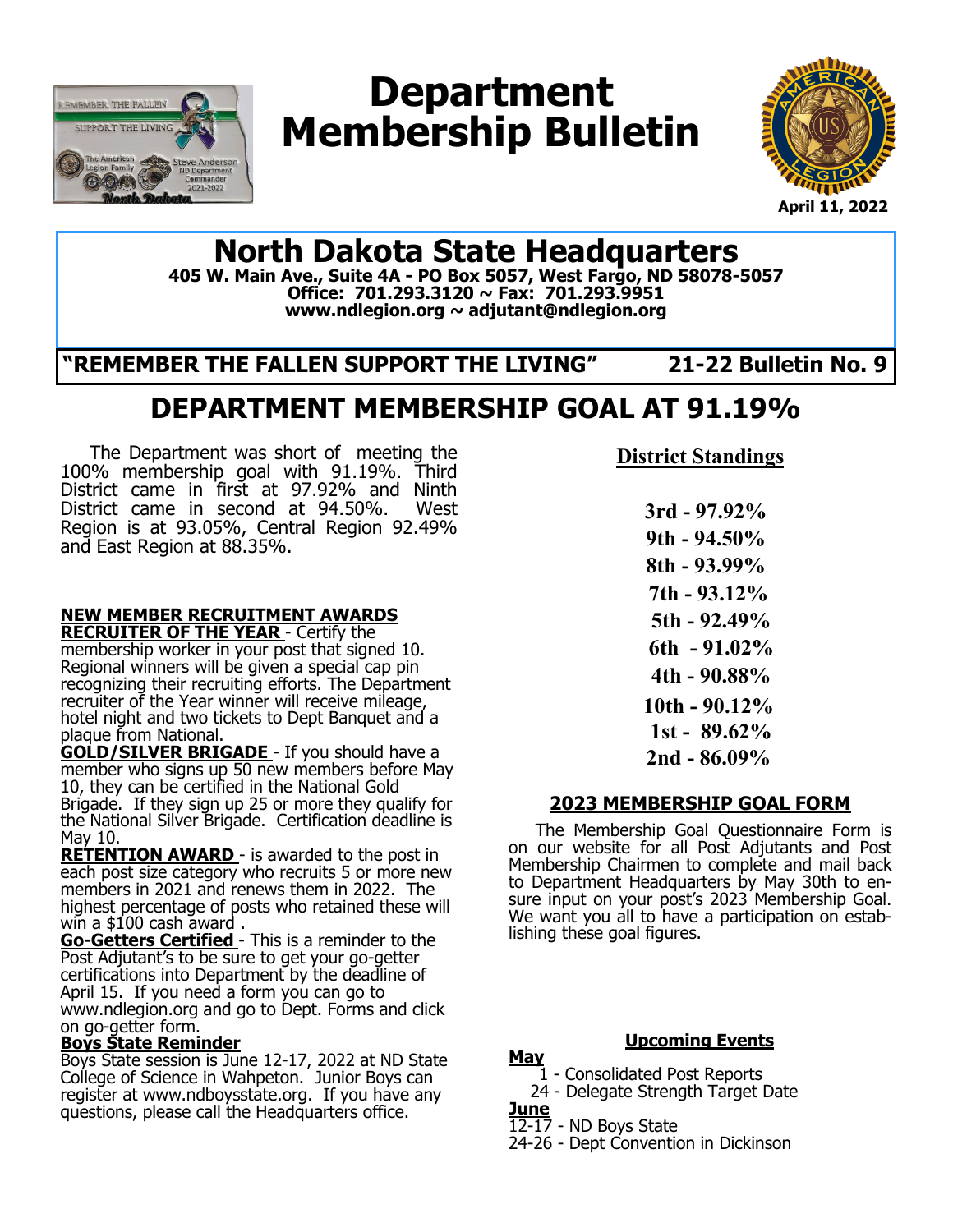

# **Department Membership Bulletin**



**April 11, 2022**

## **North Dakota State Headquarters**

**405 W. Main Ave., Suite 4A - PO Box 5057, West Fargo, ND 58078-5057 Office: 701.293.3120 ~ Fax: 701.293.9951 www.ndlegion.org ~ adjutant@ndlegion.org**

**"REMEMBER THE FALLEN SUPPORT THE LIVING" 21-22 Bulletin No. 9**

## **DEPARTMENT MEMBERSHIP GOAL AT 91.19%**

 The Department was short of meeting the 100% membership goal with 91.19%. Third District came in first at 97.92% and Ninth District came in second at 94.50%. West Region is at 93.05%, Central Region 92.49% and East Region at 88.35%.

#### **NEW MEMBER RECRUITMENT AWARDS RECRUITER OF THE YEAR** - Certify the

membership worker in your post that signed 10. Regional winners will be given a special cap pin recognizing their recruiting efforts. The Department recruiter of the Year winner will receive mileage, hotel night and two tickets to Dept Banquet and a plaque from National.

**GOLD/SILVER BRIGADE** - If you should have a member who signs up 50 new members before May 10, they can be certified in the National Gold Brigade. If they sign up 25 or more they qualify for the National Silver Brigade. Certification deadline is May 10.

**RETENTION AWARD** - is awarded to the post in each post size category who recruits 5 or more new members in 2021 and renews them in 2022. The highest percentage of posts who retained these will win a \$100 cash award .

**Go-Getters Certified** - This is a reminder to the Post Adjutant's to be sure to get your go-getter certifications into Department by the deadline of April 15. If you need a form you can go to www.ndlegion.org and go to Dept. Forms and click on go-getter form.

#### **Boys State Reminder**

Boys State session is June 12-17, 2022 at ND State College of Science in Wahpeton. Junior Boys can register at www.ndboysstate.org. If you have any questions, please call the Headquarters office.

**District Standings**

 **3rd - 97.92% 9th - 94.50% 8th - 93.99% 7th - 93.12% 5th - 92.49% 6th - 91.02% 4th - 90.88% 10th - 90.12% 1st - 89.62% 2nd - 86.09%**

#### **2023 MEMBERSHIP GOAL FORM**

 The Membership Goal Questionnaire Form is on our website for all Post Adjutants and Post Membership Chairmen to complete and mail back to Department Headquarters by May 30th to ensure input on your post's 2023 Membership Goal. We want you all to have a participation on establishing these goal figures.

**Upcoming Events**

**May** 1 - Consolidated Post Reports

- 24 Delegate Strength Target Date
- **June**

12-17 - ND Boys State

24-26 - Dept Convention in Dickinson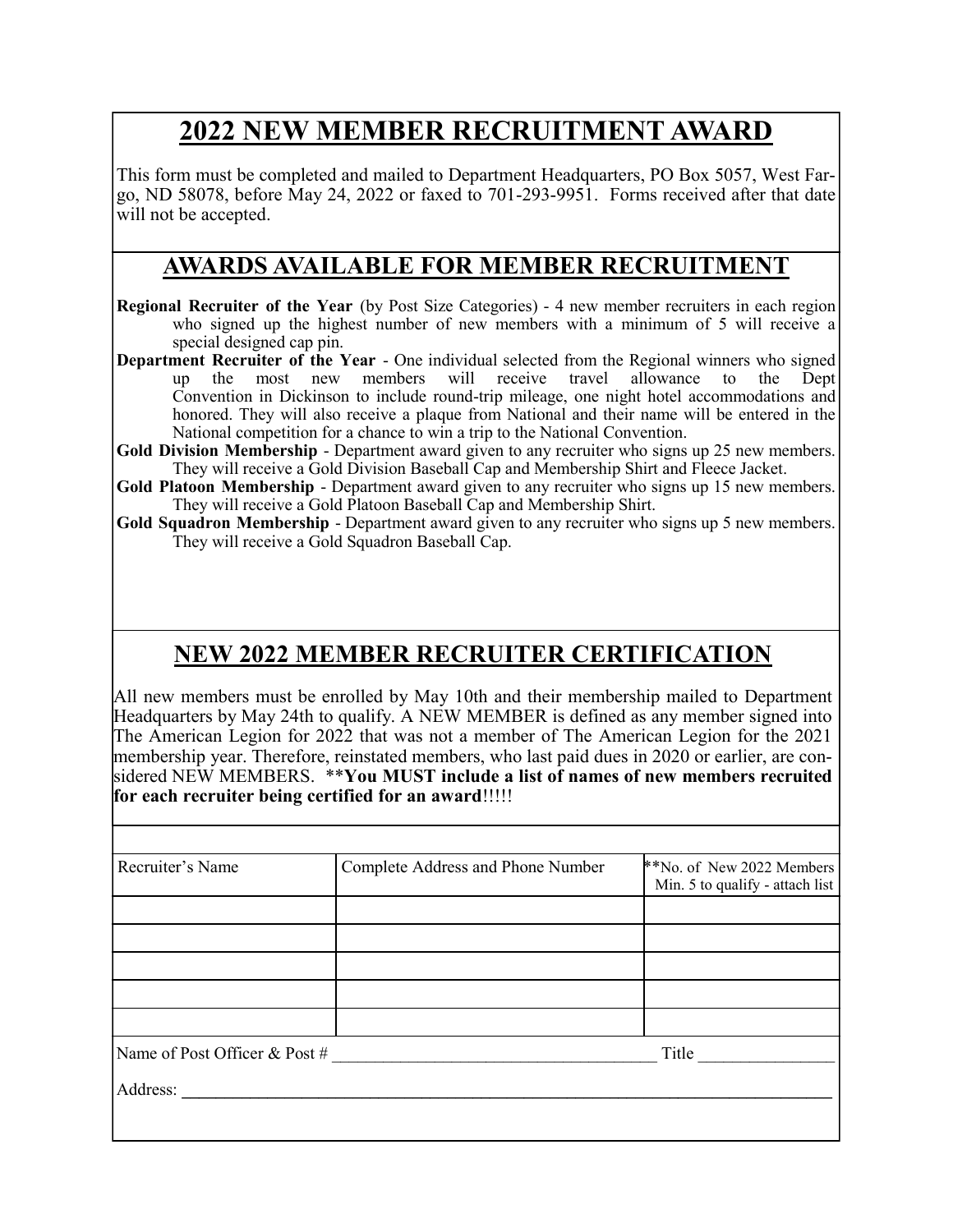## **2022 NEW MEMBER RECRUITMENT AWARD**

This form must be completed and mailed to Department Headquarters, PO Box 5057, West Fargo, ND 58078, before May 24, 2022 or faxed to 701-293-9951. Forms received after that date will not be accepted.

### **AWARDS AVAILABLE FOR MEMBER RECRUITMENT**

- **Regional Recruiter of the Year** (by Post Size Categories) 4 new member recruiters in each region who signed up the highest number of new members with a minimum of 5 will receive a special designed cap pin.
- **Department Recruiter of the Year**  One individual selected from the Regional winners who signed up the most new members will receive travel allowance to the Dept Convention in Dickinson to include round-trip mileage, one night hotel accommodations and honored. They will also receive a plaque from National and their name will be entered in the National competition for a chance to win a trip to the National Convention.
- **Gold Division Membership**  Department award given to any recruiter who signs up 25 new members. They will receive a Gold Division Baseball Cap and Membership Shirt and Fleece Jacket.
- **Gold Platoon Membership**  Department award given to any recruiter who signs up 15 new members. They will receive a Gold Platoon Baseball Cap and Membership Shirt.
- **Gold Squadron Membership**  Department award given to any recruiter who signs up 5 new members. They will receive a Gold Squadron Baseball Cap.

## **NEW 2022 MEMBER RECRUITER CERTIFICATION**

All new members must be enrolled by May 10th and their membership mailed to Department Headquarters by May 24th to qualify. A NEW MEMBER is defined as any member signed into The American Legion for 2022 that was not a member of The American Legion for the 2021 membership year. Therefore, reinstated members, who last paid dues in 2020 or earlier, are considered NEW MEMBERS.\*\***You MUST include a list of names of new members recruited for each recruiter being certified for an award**!!!!!

| Recruiter's Name              | Complete Address and Phone Number | **No. of New 2022 Members       |  |  |  |
|-------------------------------|-----------------------------------|---------------------------------|--|--|--|
|                               |                                   | Min. 5 to qualify - attach list |  |  |  |
|                               |                                   |                                 |  |  |  |
|                               |                                   |                                 |  |  |  |
|                               |                                   |                                 |  |  |  |
|                               |                                   |                                 |  |  |  |
|                               |                                   |                                 |  |  |  |
| Name of Post Officer & Post # |                                   | Title                           |  |  |  |
|                               |                                   |                                 |  |  |  |
| Address:                      |                                   |                                 |  |  |  |
|                               |                                   |                                 |  |  |  |
|                               |                                   |                                 |  |  |  |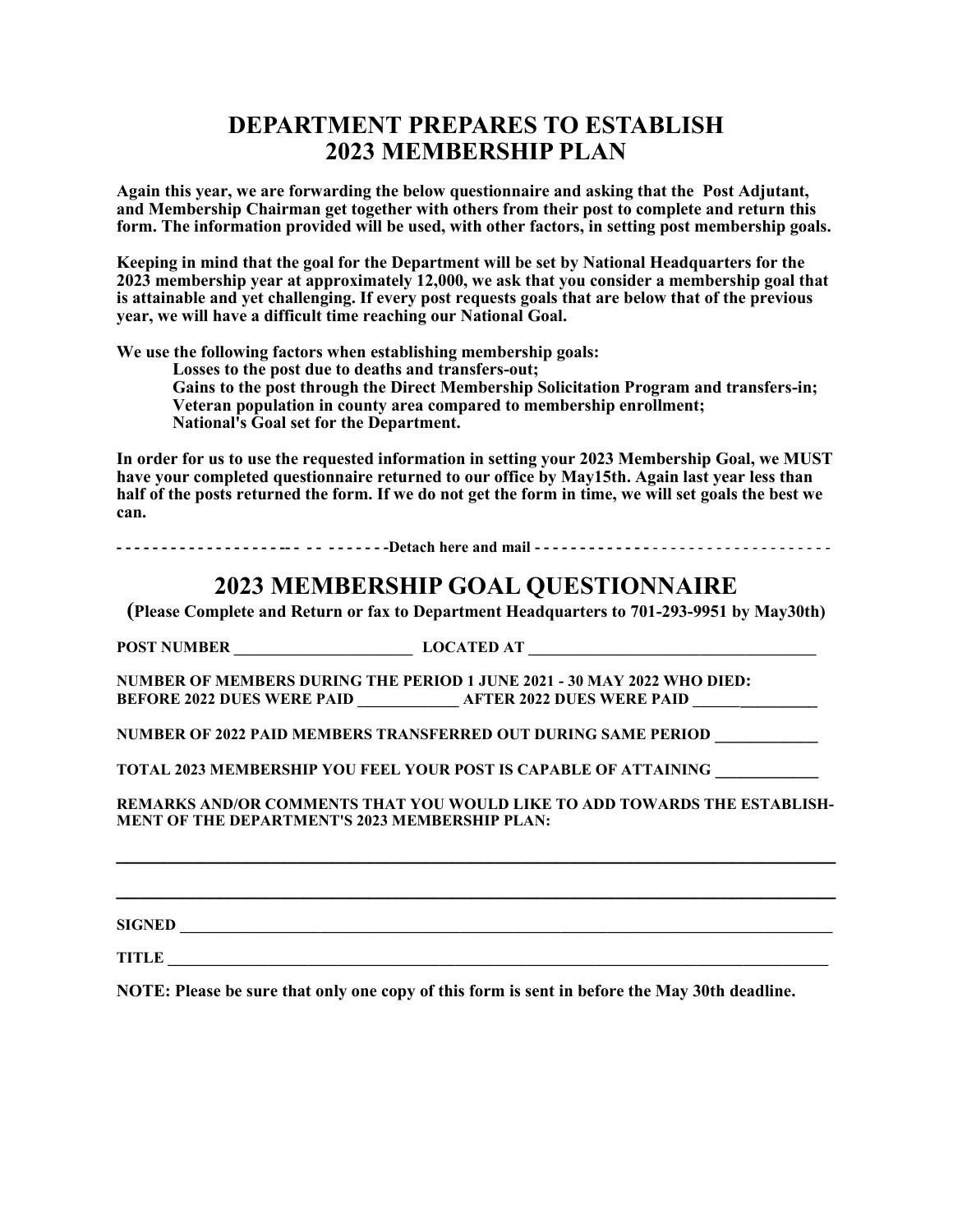### **DEPARTMENT PREPARES TO ESTABLISH 2023 MEMBERSHIP PLAN**

**Again this year, we are forwarding the below questionnaire and asking that the Post Adjutant, and Membership Chairman get together with others from their post to complete and return this form. The information provided will be used, with other factors, in setting post membership goals.**

**Keeping in mind that the goal for the Department will be set by National Headquarters for the 2023 membership year at approximately 12,000, we ask that you consider a membership goal that is attainable and yet challenging. If every post requests goals that are below that of the previous year, we will have a difficult time reaching our National Goal.**

**We use the following factors when establishing membership goals:**

**Losses to the post due to deaths and transfers-out;**

**Gains to the post through the Direct Membership Solicitation Program and transfers-in; Veteran population in county area compared to membership enrollment; National's Goal set for the Department.**

**In order for us to use the requested information in setting your 2023 Membership Goal, we MUST have your completed questionnaire returned to our office by May15th. Again last year less than half of the posts returned the form. If we do not get the form in time, we will set goals the best we can.**

------------------- -- -------Detach here and mail -------------------------------

### **2023 MEMBERSHIP GOAL QUESTIONNAIRE**

**(Please Complete and Return or fax to Department Headquarters to 701-293-9951 by May30th)**

**POST NUMBER \_\_\_\_\_\_\_\_\_\_\_\_\_\_\_\_\_\_\_\_\_\_\_ LOCATED AT \_\_\_\_\_\_\_\_\_\_\_\_\_\_\_\_\_\_\_\_\_\_\_\_\_\_\_\_\_\_\_\_\_\_\_\_\_**

**NUMBER OF MEMBERS DURING THE PERIOD 1 JUNE 2021 - 30 MAY 2022 WHO DIED: BEFORE 2022 DUES WERE PAID \_\_\_\_\_\_\_\_\_\_\_\_\_ AFTER 2022 DUES WERE PAID \_\_\_\_\_\_\_\_\_\_\_\_\_\_\_**

**NUMBER OF 2022 PAID MEMBERS TRANSFERRED OUT DURING SAME PERIOD \_\_\_\_\_\_\_\_\_\_\_\_**

**TOTAL 2023 MEMBERSHIP YOU FEEL YOUR POST IS CAPABLE OF ATTAINING \_\_\_\_\_\_\_\_\_\_\_\_**

**REMARKS AND/OR COMMENTS THAT YOU WOULD LIKE TO ADD TOWARDS THE ESTABLISH-MENT OF THE DEPARTMENT'S 2023 MEMBERSHIP PLAN:**

 $\mathcal{L} = \{ \mathcal{L} \mathcal{L} \mathcal{L} \mathcal{L} \mathcal{L} \mathcal{L} \mathcal{L} \mathcal{L} \mathcal{L} \mathcal{L} \mathcal{L} \mathcal{L} \mathcal{L} \mathcal{L} \mathcal{L} \mathcal{L} \mathcal{L} \mathcal{L} \mathcal{L} \mathcal{L} \mathcal{L} \mathcal{L} \mathcal{L} \mathcal{L} \mathcal{L} \mathcal{L} \mathcal{L} \mathcal{L} \mathcal{L} \mathcal{L} \mathcal{L} \mathcal{L} \mathcal{L} \mathcal{L} \mathcal{L} \$ 

**SIGNED \_\_\_\_\_\_\_\_\_\_\_\_\_\_\_\_\_\_\_\_\_\_\_\_\_\_\_\_\_\_\_\_\_\_\_\_\_\_\_\_\_\_\_\_\_\_\_\_\_\_\_\_\_\_\_\_\_\_\_\_\_\_\_\_\_\_\_\_\_\_\_\_\_\_\_\_\_\_\_\_\_\_\_\_**

**TITLE** 

**NOTE: Please be sure that only one copy of this form is sent in before the May 30th deadline.**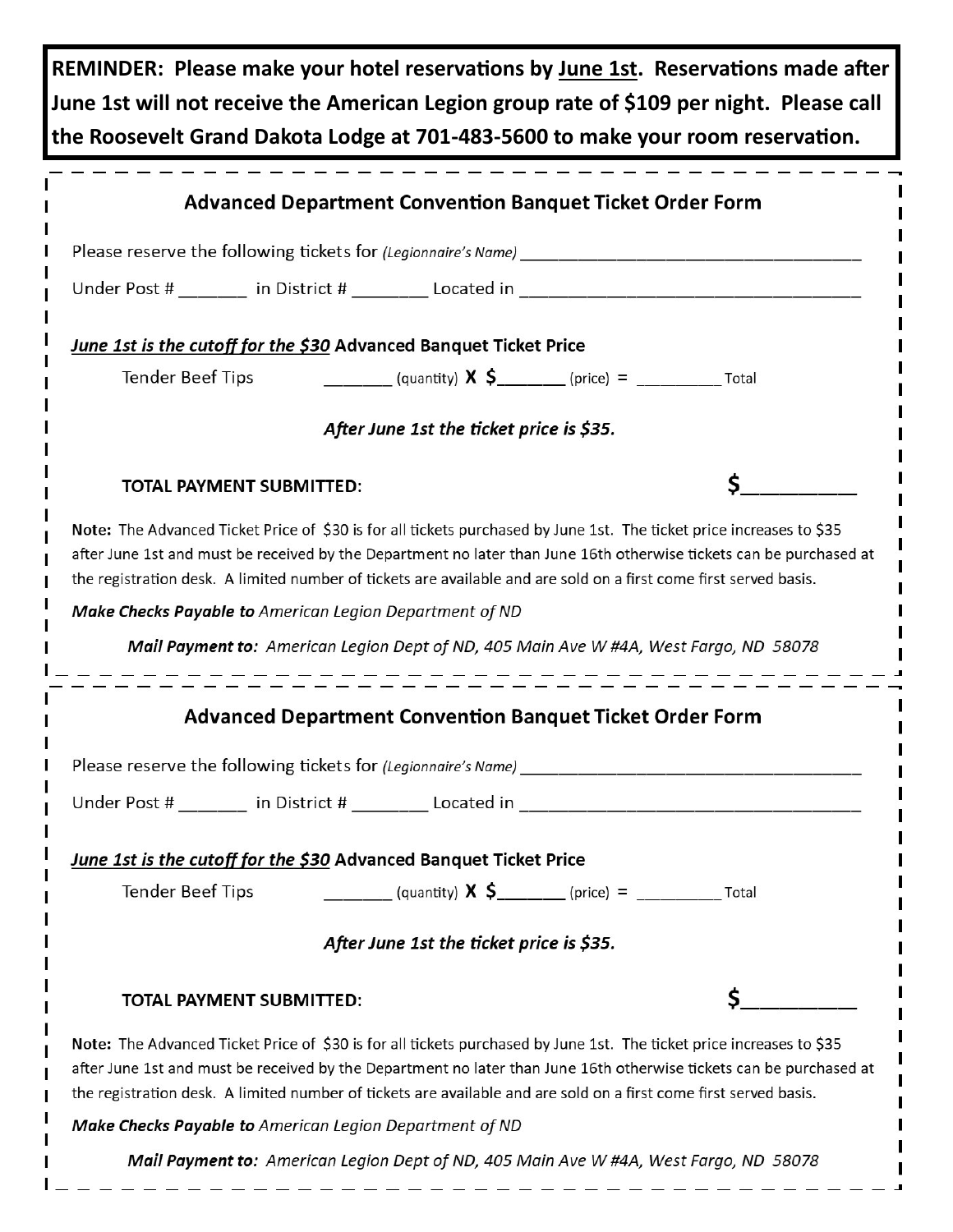**REMINDER: Please make your hotel reservations by June 1st. Reservations made after June 1st will not receive the American Legion group rate of \$109 per night. Please call the Roosevelt Grand Dakota Lodge at 701-483-5600 to make your room reservation.** 

| <b>Advanced Department Convention Banquet Ticket Order Form</b>                                                                                                                                                                                                                                                                                                  |    |  |  |  |  |  |  |  |  |  |
|------------------------------------------------------------------------------------------------------------------------------------------------------------------------------------------------------------------------------------------------------------------------------------------------------------------------------------------------------------------|----|--|--|--|--|--|--|--|--|--|
| Please reserve the following tickets for (Legionnaire's Name)                                                                                                                                                                                                                                                                                                    |    |  |  |  |  |  |  |  |  |  |
| Under Post # ______ in District # _______ Located in ___________________________                                                                                                                                                                                                                                                                                 |    |  |  |  |  |  |  |  |  |  |
| June 1st is the cutoff for the \$30 Advanced Banquet Ticket Price                                                                                                                                                                                                                                                                                                |    |  |  |  |  |  |  |  |  |  |
| <b>Tender Beef Tips</b>                                                                                                                                                                                                                                                                                                                                          |    |  |  |  |  |  |  |  |  |  |
|                                                                                                                                                                                                                                                                                                                                                                  |    |  |  |  |  |  |  |  |  |  |
| After June 1st the ticket price is \$35.                                                                                                                                                                                                                                                                                                                         |    |  |  |  |  |  |  |  |  |  |
| <b>TOTAL PAYMENT SUBMITTED:</b>                                                                                                                                                                                                                                                                                                                                  | \$ |  |  |  |  |  |  |  |  |  |
| Note: The Advanced Ticket Price of \$30 is for all tickets purchased by June 1st. The ticket price increases to \$35<br>after June 1st and must be received by the Department no later than June 16th otherwise tickets can be purchased at<br>the registration desk. A limited number of tickets are available and are sold on a first come first served basis. |    |  |  |  |  |  |  |  |  |  |
| Make Checks Payable to American Legion Department of ND                                                                                                                                                                                                                                                                                                          |    |  |  |  |  |  |  |  |  |  |
| Mail Payment to: American Legion Dept of ND, 405 Main Ave W #4A, West Fargo, ND 58078                                                                                                                                                                                                                                                                            |    |  |  |  |  |  |  |  |  |  |
|                                                                                                                                                                                                                                                                                                                                                                  |    |  |  |  |  |  |  |  |  |  |
| <b>Advanced Department Convention Banquet Ticket Order Form</b>                                                                                                                                                                                                                                                                                                  |    |  |  |  |  |  |  |  |  |  |
|                                                                                                                                                                                                                                                                                                                                                                  |    |  |  |  |  |  |  |  |  |  |
|                                                                                                                                                                                                                                                                                                                                                                  |    |  |  |  |  |  |  |  |  |  |
|                                                                                                                                                                                                                                                                                                                                                                  |    |  |  |  |  |  |  |  |  |  |
| <u>June 1st is the cutoff for the \$30</u> Advanced Banquet Ticket Price                                                                                                                                                                                                                                                                                         |    |  |  |  |  |  |  |  |  |  |
| <b>Tender Beef Tips</b>                                                                                                                                                                                                                                                                                                                                          |    |  |  |  |  |  |  |  |  |  |
| After June 1st the ticket price is \$35.                                                                                                                                                                                                                                                                                                                         |    |  |  |  |  |  |  |  |  |  |
| <b>TOTAL PAYMENT SUBMITTED:</b>                                                                                                                                                                                                                                                                                                                                  | Ś  |  |  |  |  |  |  |  |  |  |
| Note: The Advanced Ticket Price of \$30 is for all tickets purchased by June 1st. The ticket price increases to \$35<br>after June 1st and must be received by the Department no later than June 16th otherwise tickets can be purchased at<br>the registration desk. A limited number of tickets are available and are sold on a first come first served basis. |    |  |  |  |  |  |  |  |  |  |
| <b>Make Checks Payable to</b> American Legion Department of ND                                                                                                                                                                                                                                                                                                   |    |  |  |  |  |  |  |  |  |  |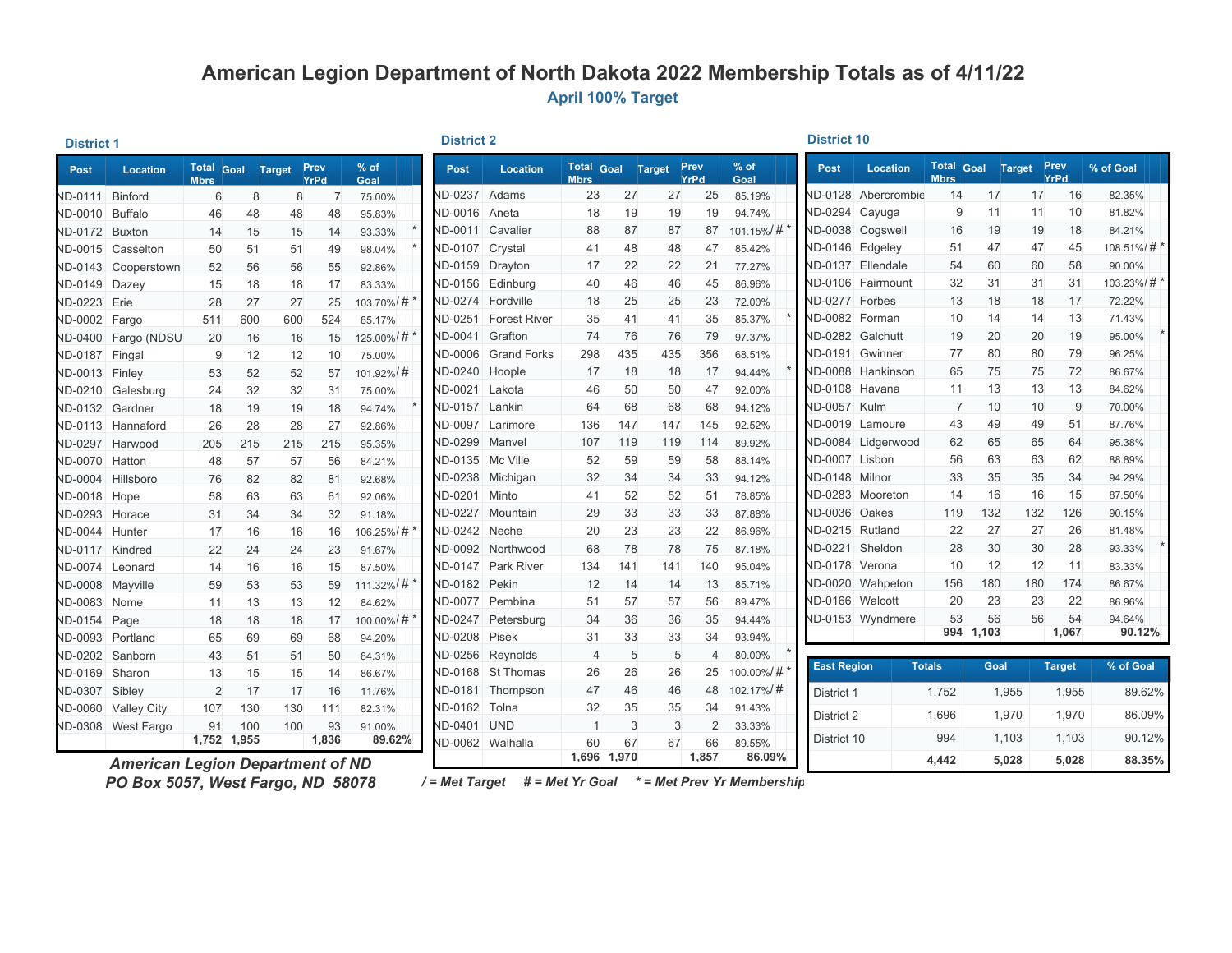### **American Legion Department of North Dakota 2022 Membership Totals as of 4/11/22 April 100% Target**

#### **District 1**

**District 2 District 10** 

| Post                  | <b>Location</b>                  | <b>Mbrs</b> | <b>Total Goal Target</b> |     | Prev<br>YrPd | $%$ of<br>Goal | <b>Post</b>           | Location                    | <b>Mbrs</b>    |             | Total Goal Target Prev | YrPd           | $%$ of<br>Goal  | Post               | <b>Location</b>        | <b>Mbrs</b>   | Total Goal Target Prev |     | YrPd          | % of Goal  |
|-----------------------|----------------------------------|-------------|--------------------------|-----|--------------|----------------|-----------------------|-----------------------------|----------------|-------------|------------------------|----------------|-----------------|--------------------|------------------------|---------------|------------------------|-----|---------------|------------|
| ND-0111 Binford       |                                  | 6           | 8                        | 8   |              | 75.00%         | ID-0237 Adams         |                             | 23             | 27          | 27                     | 25             | 85.19%          |                    | ND-0128 Abercrombie    | 14            | 17                     | 17  | 16            | 82.35%     |
| <b>ND-0010</b>        | Buffalo                          | 46          | 48                       | 48  | 48           | 95.83%         | JD-0016 Aneta         |                             | 18             | 19          | 19                     | 19             | 94.74%          |                    | ND-0294 Cayuga         | 9             | 11                     | 11  | 10            | 81.82%     |
| ND-0172 Buxton        |                                  | 14          | 15                       | 15  | 14           | 93.33%         |                       | ND-0011 Cavalier            | 88             | 87          | 87                     | 87             | $101.15\% / \#$ |                    | ND-0038 Cogswell       | 16            | 19                     | 19  | 18            | 84.21%     |
|                       | ND-0015 Casselton                | 50          | 51                       | 51  | 49           | 98.04%         | ND-0107 Crystal       |                             | 41             | 48          | 48                     | 47             | 85.42%          |                    | <b>ND-0146 Edgeley</b> | 51            | 47                     | 47  | 45            | 108.51%/#* |
|                       | ND-0143 Cooperstown              | 52          | 56                       | 56  | 55           | 92.86%         | ND-0159 Drayton       |                             | 17             | 22          | 22                     | 21             | 77.27%          |                    | ND-0137 Ellendale      | 54            | 60                     | 60  | 58            | 90.00%     |
| VD-0149 Dazey         |                                  | 15          | 18                       | 18  | 17           | 83.33%         |                       | ND-0156 Edinburg            | 40             | 46          | 46                     | 45             | 86.96%          |                    | ND-0106 Fairmount      | 32            | 31                     | 31  | 31            | 103.23%/#* |
| <b>ND-0223</b> Erie   |                                  | 28          | 27                       | 27  | 25           | 103.70%/#      |                       | <b>JD-0274 Fordville</b>    | 18             | 25          | 25                     | 23             | 72.00%          |                    | ND-0277 Forbes         | 13            | 18                     | 18  | 17            | 72.22%     |
| <b>ND-0002</b>        | Fargo                            | 511         | 600                      | 600 | 524          | 85.17%         |                       | <b>JD-0251 Forest River</b> | 35             | 41          | 41                     | 35             | 85.37%          |                    | ND-0082 Forman         | 10            | 14                     | 14  | 13            | 71.43%     |
|                       | ND-0400 Fargo (NDSU              | 20          | 16                       | 16  | 15           | 125.00%/#      | ND-0041               | Grafton                     | 74             | 76          | 76                     | 79             | 97.37%          |                    | ND-0282 Galchutt       | 19            | 20                     | 20  | 19            | 95.00%     |
| <b>ND-0187</b>        | Fingal                           | 9           | 12                       | 12  | 10           | 75.00%         |                       | ND-0006 Grand Forks         | 298            | 435         | 435                    | 356            | 68.51%          |                    | ND-0191 Gwinner        | 77            | 80                     | 80  | 79            | 96.25%     |
| <b>ND-0013 Finley</b> |                                  | 53          | 52                       | 52  | 57           | 101.92%/#      | <b>ND-0240 Hoople</b> |                             | 17             | 18          | 18                     | 17             | 94.44%          |                    | ND-0088 Hankinson      | 65            | 75                     | 75  | 72            | 86.67%     |
|                       | ND-0210 Galesburg                | 24          | 32                       | 32  | 31           | 75.00%         | ND-0021 Lakota        |                             | 46             | 50          | 50                     | 47             | 92.00%          |                    | ND-0108 Havana         | 11            | 13                     | 13  | 13            | 84.62%     |
| ND-0132 Gardner       |                                  | 18          | 19                       | 19  | 18           | 94.74%         | ND-0157 Lankin        |                             | 64             | 68          | 68                     | 68             | 94.12%          | ND-0057 Kulm       |                        | 7             | 10                     | 10  | 9             | 70.00%     |
|                       | ND-0113 Hannaford                | 26          | 28                       | 28  | 27           | 92.86%         |                       | <b>JD-0097</b> Larimore     | 136            | 147         | 147                    | 145            | 92.52%          |                    | ND-0019 Lamoure        | 43            | 49                     | 49  | 51            | 87.76%     |
| ND-0297 Harwood       |                                  | 205         | 215                      | 215 | 215          | 95.35%         | JD-0299 Manvel        |                             | 107            | 119         | 119                    | 114            | 89.92%          |                    | ND-0084 Lidgerwood     | 62            | 65                     | 65  | 64            | 95.38%     |
| ND-0070 Hatton        |                                  | 48          | 57                       | 57  | 56           | 84.21%         | ND-0135 Mc Ville      |                             | 52             | 59          | 59                     | 58             | 88.14%          |                    | ND-0007 Lisbon         | 56            | 63                     | 63  | 62            | 88.89%     |
| <b>ND-0004</b>        | Hillsboro                        | 76          | 82                       | 82  | 81           | 92.68%         |                       | ND-0238 Michigan            | 32             | 34          | 34                     | 33             | 94.12%          |                    | ND-0148 Milnor         | 33            | 35                     | 35  | 34            | 94.29%     |
| VD-0018 Hope          |                                  | 58          | 63                       | 63  | 61           | 92.06%         | <b>ND-0201</b>        | Minto                       | 41             | 52          | 52                     | 51             | 78.85%          |                    | ND-0283 Mooreton       | 14            | 16                     | 16  | 15            | 87.50%     |
| VD-0293 Horace        |                                  | 31          | 34                       | 34  | 32           | 91.18%         |                       | ND-0227 Mountain            | 29             | 33          | 33                     | 33             | 87.88%          |                    | ND-0036 Oakes          | 119           | 132                    | 132 | 126           | 90.15%     |
| VD-0044 Hunter        |                                  | 17          | 16                       | 16  | 16           | 106.25%/#      | ND-0242 Neche         |                             | 20             | 23          | 23                     | 22             | 86.96%          |                    | ND-0215 Rutland        | 22            | 27                     | 27  | 26            | 81.48%     |
| ND-0117 Kindred       |                                  | 22          | 24                       | 24  | 23           | 91.67%         |                       | ND-0092 Northwood           | 68             | 78          | 78                     | 75             | 87.18%          |                    | ND-0221 Sheldon        | 28            | 30                     | 30  | 28            | 93.33%     |
| ND-0074 Leonard       |                                  | 14          | 16                       | 16  | 15           | 87.50%         |                       | <b>ND-0147</b> Park River   | 134            | 141         | 141                    | 140            | 95.04%          |                    | ND-0178 Verona         | 10            | 12                     | 12  | 11            | 83.33%     |
| ND-0008 Mavville      |                                  | 59          | 53                       | 53  | 59           | 111.32%/#      | ND-0182               | Pekin                       | 12             | 14          | 14                     | 13             | 85.71%          |                    | ND-0020 Wahpeton       | 156           | 180                    | 180 | 174           | 86.67%     |
| <b>ND-0083</b>        | Nome                             | 11          | 13                       | 13  | 12           | 84.62%         |                       | ND-0077 Pembina             | 51             | 57          | 57                     | 56             | 89.47%          |                    | ND-0166 Walcott        | 20            | 23                     | 23  | 22            | 86.96%     |
| VD-0154 Page          |                                  | 18          | 18                       | 18  | 17           | 100.00%/#*     |                       | ND-0247 Petersburg          | 34             | 36          | 36                     | 35             | 94.44%          |                    | ND-0153 Wyndmere       | 53            | 56                     | 56  | 54            | 94.64%     |
| ND-0093 Portland      |                                  | 65          | 69                       | 69  | 68           | 94.20%         | <b>ND-0208 Pisek</b>  |                             | 31             | 33          | 33                     | 34             | 93.94%          |                    |                        | 994 1,103     |                        |     | 1,067         | 90.12%     |
| VD-0202 Sanborn       |                                  | 43          | 51                       | 51  | 50           | 84.31%         |                       | ND-0256 Reynolds            | $\overline{4}$ | 5           | 5                      | $\overline{4}$ | 80.00%          |                    |                        |               |                        |     |               |            |
| VD-0169 Sharon        |                                  | 13          | 15                       | 15  | 14           | 86.67%         |                       | ND-0168 St Thomas           | 26             | 26          | 26                     | 25             | 100.00%/#*      | <b>East Region</b> |                        | <b>Totals</b> | Goal                   |     | <b>Target</b> | % of Goal  |
| VD-0307 Sibley        |                                  |             | 2<br>17                  | 17  | 16           | 11.76%         | <b>ND-0181</b>        | Thompson                    | 47             | 46          | 46                     | 48             | 102.17%/#       | District 1         |                        | 1,752         | 1,955                  |     | 1,955         | 89.62%     |
|                       | ND-0060 Valley City              | 107         | 130                      | 130 | 111          | 82.31%         | <b>ND-0162</b>        | Tolna                       | 32             | 35          | 35                     | 34             | 91.43%          | District 2         |                        | 1,696         | 1,970                  |     | 1,970         | 86.09%     |
|                       | ND-0308 West Fargo               | 91          | 100                      | 100 | 93           | 91.00%         | <b>ND-0401</b>        | <b>UND</b>                  |                | 3           | 3                      | $\overline{2}$ | 33.33%          |                    |                        |               |                        |     |               |            |
|                       |                                  |             | 1,752 1,955              |     | 1,836        | 89.62%         |                       | <b>JD-0062</b> Walhalla     | 60             | 67          | 67                     | 66             | 89.55%          | District 10        |                        | 994           | 1,103                  |     | 1,103         | 90.12%     |
|                       | American Legion Department of ND |             |                          |     |              |                |                       |                             |                | 1,696 1,970 |                        | 1,857          | 86.09%          |                    |                        | 4,442         | 5.028                  |     | 5.028         | 88.35%     |

*American Legion Department of ND*

/= Met Target # = Met Yr Goal \* = Met Prev Yr Membership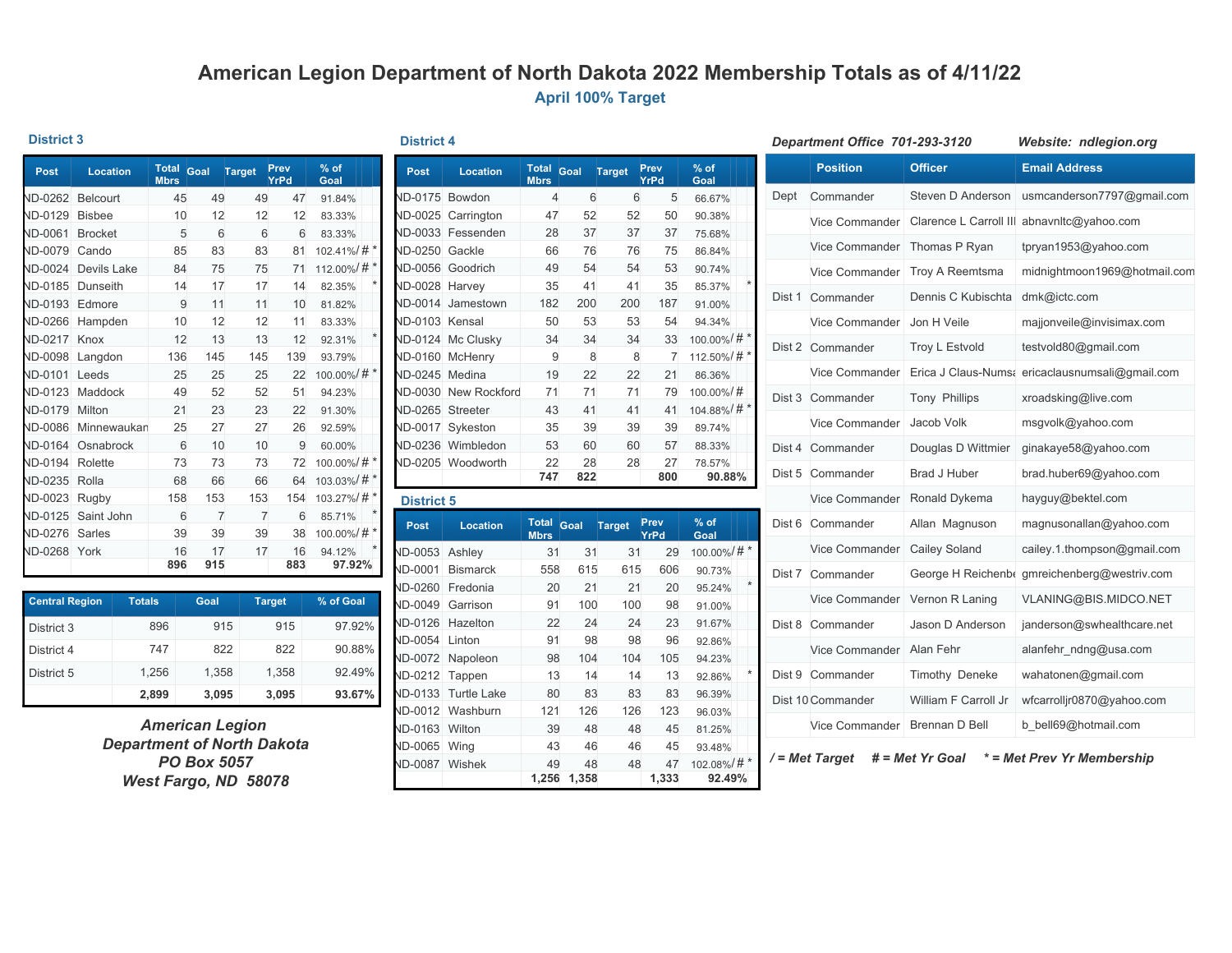### **American Legion Department of North Dakota 2022 Membership Totals as of 4/11/22 April 100% Target**

#### **District 3**

| <b>Post</b>    | <b>Location</b> | <b>Total</b><br><b>Mbrs</b> | Goal | <b>Target</b>  | Prev<br>YrPd | $%$ of<br>Goal |          |
|----------------|-----------------|-----------------------------|------|----------------|--------------|----------------|----------|
| <b>ND-0262</b> | <b>Belcourt</b> | 45                          | 49   | 49             | 47           | 91.84%         |          |
| <b>ND-0129</b> | <b>Bisbee</b>   | 10                          | 12   | 12             | 12           | 83.33%         |          |
| <b>ND-0061</b> | <b>Brocket</b>  | 5                           | 6    | 6              | 6            | 83.33%         |          |
| <b>ND-0079</b> | Cando           | 85                          | 83   | 83             | 81           | 102.41%/#*     |          |
| <b>ND-0024</b> | Devils Lake     | 84                          | 75   | 75             | 71           | 112.00%/#*     |          |
| <b>ND-0185</b> | <b>Dunseith</b> | 14                          | 17   | 17             | 14           | 82.35%         |          |
| <b>ND-0193</b> | Edmore          | 9                           | 11   | 11             | 10           | 81.82%         |          |
| <b>ND-0266</b> | Hampden         | 10                          | 12   | 12             | 11           | 83.33%         |          |
| <b>ND-0217</b> | Knox            | 12                          | 13   | 13             | 12           | 92.31%         | $^\star$ |
| <b>ND-0098</b> | Langdon         | 136                         | 145  | 145            | 139          | 93.79%         |          |
| <b>ND-0101</b> | Leeds           | 25                          | 25   | 25             | 22           | 100.00%/#*     |          |
| <b>ND-0123</b> | Maddock         | 49                          | 52   | 52             | 51           | 94.23%         |          |
| <b>ND-0179</b> | Milton          | 21                          | 23   | 23             | 22           | 91.30%         |          |
| <b>ND-0086</b> | Minnewaukan     | 25                          | 27   | 27             | 26           | 92.59%         |          |
| <b>ND-0164</b> | Osnabrock       | 6                           | 10   | 10             | 9            | 60.00%         |          |
| <b>ND-0194</b> | Rolette         | 73                          | 73   | 73             | 72           | 100.00%/#*     |          |
| <b>ND-0235</b> | Rolla           | 68                          | 66   | 66             | 64           | 103.03%/#*     |          |
| <b>ND-0023</b> | Rugby           | 158                         | 153  | 153            | 154          | 103.27%/#*     |          |
| <b>ND-0125</b> | Saint John      | 6                           | 7    | $\overline{7}$ | 6            | 85.71%         | $\ast$   |
| <b>ND-0276</b> | Sarles          | 39                          | 39   | 39             | 38           | 100.00%/#*     |          |
| <b>ND-0268</b> | York            | 16                          | 17   | 17             | 16           | 94.12%         |          |
|                |                 | 896                         | 915  |                | 883          | 97.92%         |          |

| <b>Central Region</b> | <b>Totals</b> | Goal  | <b>Target</b> | % of Goal |
|-----------------------|---------------|-------|---------------|-----------|
| District 3            | 896           | 915   | 915           | 97.92%    |
| District 4            | 747           | 822   | 822           | 90.88%    |
| District 5            | 1,256         | 1,358 | 1,358         | 92.49%    |
|                       | 2,899         | 3,095 | 3,095         | 93.67%    |

*American Legion Department of North Dakota PO Box 5057 West Fargo, ND 58078*

| <b>District</b> |  |  |
|-----------------|--|--|
|                 |  |  |

| Post           | <b>Location</b> | <b>Total</b><br><b>Mbrs</b> | Goal | <b>Target</b> | Prev<br>YrPd | $%$ of<br>Goal |
|----------------|-----------------|-----------------------------|------|---------------|--------------|----------------|
| <b>ND-0175</b> | Bowdon          | $\overline{4}$              | 6    | 6             | 5            | 66.67%         |
| <b>ND-0025</b> | Carrington      | 47                          | 52   | 52            | 50           | 90.38%         |
| <b>ND-0033</b> | Fessenden       | 28                          | 37   | 37            | 37           | 75.68%         |
| <b>ND-0250</b> | Gackle          | 66                          | 76   | 76            | 75           | 86.84%         |
| <b>ND-0056</b> | Goodrich        | 49                          | 54   | 54            | 53           | 90.74%         |
| <b>ND-0028</b> | Harvey          | 35                          | 41   | 41            | 35           | 85.37%         |
| <b>ND-0014</b> | Jamestown       | 182                         | 200  | 200           | 187          | 91.00%         |
| <b>ND-0103</b> | Kensal          | 50                          | 53   | 53            | 54           | 94.34%         |
| <b>ND-0124</b> | Mc Clusky       | 34                          | 34   | 34            | 33           | 100.00%/#      |
| <b>ND-0160</b> | McHenry         | 9                           | 8    | 8             | 7            | 112.50%/#      |
| <b>ND-0245</b> | Medina          | 19                          | 22   | 22            | 21           | 86.36%         |
| <b>ND-0030</b> | New Rockford    | 71                          | 71   | 71            | 79           | 100.00%/#      |
| <b>ND-0265</b> | Streeter        | 43                          | 41   | 41            | 41           | 104.88%/#      |
| <b>ND-0017</b> | Sykeston        | 35                          | 39   | 39            | 39           | 89.74%         |
| <b>ND-0236</b> | Wimbledon       | 53                          | 60   | 60            | 57           | 88.33%         |
| <b>ND-0205</b> | Woodworth       | 22                          | 28   | 28            | 27           | 78.57%         |
|                |                 | 747                         | 822  |               | 800          | 90.88%         |

#### **District 5**

| <b>Post</b>    | Location           | <b>Total</b><br><b>Mbrs</b> | Goal  | <b>Target</b> | Prev<br>YrPd | $%$ of<br>Goal |          |
|----------------|--------------------|-----------------------------|-------|---------------|--------------|----------------|----------|
| <b>ND-0053</b> | Ashlev             | 31                          | 31    | 31            | 29           | 100.00%/#*     |          |
| <b>ND-0001</b> | <b>Bismarck</b>    | 558                         | 615   | 615           | 606          | 90.73%         |          |
| <b>ND-0260</b> | Fredonia           | 20                          | 21    | 21            | 20           | 95.24%         | $\ast$   |
| <b>ND-0049</b> | Garrison           | 91                          | 100   | 100           | 98           | 91.00%         |          |
| <b>ND-0126</b> | Hazelton           | 22                          | 24    | 24            | 23           | 91.67%         |          |
| <b>ND-0054</b> | Linton             | 91                          | 98    | 98            | 96           | 92.86%         |          |
| <b>ND-0072</b> | Napoleon           | 98                          | 104   | 104           | 105          | 94.23%         |          |
| <b>ND-0212</b> | Tappen             | 13                          | 14    | 14            | 13           | 92.86%         | $^\star$ |
| <b>ND-0133</b> | <b>Turtle Lake</b> | 80                          | 83    | 83            | 83           | 96.39%         |          |
| <b>ND-0012</b> | Washburn           | 121                         | 126   | 126           | 123          | 96.03%         |          |
| <b>ND-0163</b> | Wilton             | 39                          | 48    | 48            | 45           | 81.25%         |          |
| <b>ND-0065</b> | Wing               | 43                          | 46    | 46            | 45           | 93.48%         |          |
| <b>ND-0087</b> | Wishek             | 49                          | 48    | 48            | 47           | 102.08%/#*     |          |
|                |                    | 1,256                       | 1,358 |               | 1,333        | 92.49%         |          |

|        | Department Office 701-293-3120 |                      | Website: ndlegion.org                           |  |  |  |
|--------|--------------------------------|----------------------|-------------------------------------------------|--|--|--|
|        | <b>Position</b>                | <b>Officer</b>       | <b>Email Address</b>                            |  |  |  |
| Dept   | Commander                      | Steven D Anderson    | usmcanderson7797@gmail.com                      |  |  |  |
|        | Vice Commander                 |                      | Clarence L Carroll III abnavnitc@yahoo.com      |  |  |  |
|        | Vice Commander                 | Thomas P Ryan        | tpryan1953@yahoo.com                            |  |  |  |
|        | <b>Vice Commander</b>          | Troy A Reemtsma      | midnightmoon1969@hotmail.com                    |  |  |  |
| Dist 1 | Commander                      | Dennis C Kubischta   | dmk@ictc.com                                    |  |  |  |
|        | Vice Commander                 | Jon H Veile          | majjonveile@invisimax.com                       |  |  |  |
|        | Dist 2 Commander               | Troy L Estvold       | testvold80@gmail.com                            |  |  |  |
|        | Vice Commander                 |                      | Erica J Claus-Nums: ericaclausnumsali@gmail.com |  |  |  |
|        | Dist 3 Commander               | <b>Tony Phillips</b> | xroadsking@live.com                             |  |  |  |
|        | Vice Commander                 | Jacob Volk           | msgvolk@yahoo.com                               |  |  |  |
| Dist 4 | Commander                      | Douglas D Wittmier   | ginakaye58@yahoo.com                            |  |  |  |
|        | Dist 5 Commander               | <b>Brad J Huber</b>  | brad.huber69@yahoo.com                          |  |  |  |
|        | Vice Commander                 | Ronald Dykema        | hayguy@bektel.com                               |  |  |  |
|        | Dist 6 Commander               | Allan Magnuson       | magnusonallan@yahoo.com                         |  |  |  |
|        | Vice Commander                 | Cailey Soland        | cailey.1.thompson@gmail.com                     |  |  |  |
| Dist 7 | Commander                      |                      | George H Reichenbe gmreichenberg@westriv.com    |  |  |  |
|        | Vice Commander                 | Vernon R Laning      | VLANING@BIS.MIDCO.NET                           |  |  |  |
| Dist 8 | Commander                      | Jason D Anderson     | janderson@swhealthcare.net                      |  |  |  |
|        | Vice Commander                 | Alan Fehr            | alanfehr_ndng@usa.com                           |  |  |  |
| Dist 9 | Commander                      | Timothy Deneke       | wahatonen@gmail.com                             |  |  |  |
|        | Dist 10 Commander              | William F Carroll Jr | wfcarrolljr0870@yahoo.com                       |  |  |  |
|        | Vice Commander                 | Brennan D Bell       | b bell69@hotmail.com                            |  |  |  |

*/ = Met Target # = Met Yr Goal \* = Met Prev Yr Membership*